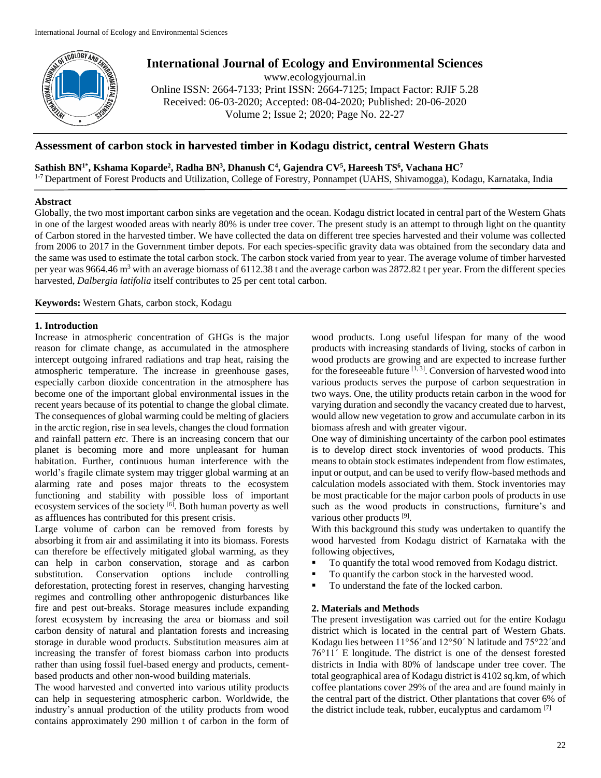

# **International Journal of Ecology and Environmental Sciences**

www.ecologyjournal.in

Online ISSN: 2664-7133; Print ISSN: 2664-7125; Impact Factor: RJIF 5.28 Received: 06-03-2020; Accepted: 08-04-2020; Published: 20-06-2020 Volume 2; Issue 2; 2020; Page No. 22-27

# **Assessment of carbon stock in harvested timber in Kodagu district, central Western Ghats**

 $\mathbf{S}$ athish BN<sup>1\*</sup>, Kshama Koparde<sup>2</sup>, Radha BN<sup>3</sup>, Dhanush C<sup>4</sup>, Gajendra CV<sup>5</sup>, Hareesh TS<sup>6</sup>, Vachana HC<sup>7</sup>

<sup>1-7</sup> Department of Forest Products and Utilization, College of Forestry, Ponnampet (UAHS, Shivamogga), Kodagu, Karnataka, India

# **Abstract**

Globally, the two most important carbon sinks are vegetation and the ocean. Kodagu district located in central part of the Western Ghats in one of the largest wooded areas with nearly 80% is under tree cover. The present study is an attempt to through light on the quantity of Carbon stored in the harvested timber. We have collected the data on different tree species harvested and their volume was collected from 2006 to 2017 in the Government timber depots. For each species-specific gravity data was obtained from the secondary data and the same was used to estimate the total carbon stock. The carbon stock varied from year to year. The average volume of timber harvested per year was 9664.46 m<sup>3</sup> with an average biomass of 6112.38 t and the average carbon was 2872.82 t per year. From the different species harvested, *Dalbergia latifolia* itself contributes to 25 per cent total carbon.

**Keywords:** Western Ghats, carbon stock, Kodagu

# **1. Introduction**

Increase in atmospheric concentration of GHGs is the major reason for climate change, as accumulated in the atmosphere intercept outgoing infrared radiations and trap heat, raising the atmospheric temperature. The increase in greenhouse gases, especially carbon dioxide concentration in the atmosphere has become one of the important global environmental issues in the recent years because of its potential to change the global climate. The consequences of global warming could be melting of glaciers in the arctic region, rise in sea levels, changes the cloud formation and rainfall pattern *etc*. There is an increasing concern that our planet is becoming more and more unpleasant for human habitation. Further, continuous human interference with the world's fragile climate system may trigger global warming at an alarming rate and poses major threats to the ecosystem functioning and stability with possible loss of important ecosystem services of the society [6]. Both human poverty as well as affluences has contributed for this present crisis.

Large volume of carbon can be removed from forests by absorbing it from air and assimilating it into its biomass. Forests can therefore be effectively mitigated global warming, as they can help in carbon conservation, storage and as carbon substitution. Conservation options include controlling deforestation, protecting forest in reserves, changing harvesting regimes and controlling other anthropogenic disturbances like fire and pest out-breaks. Storage measures include expanding forest ecosystem by increasing the area or biomass and soil carbon density of natural and plantation forests and increasing storage in durable wood products. Substitution measures aim at increasing the transfer of forest biomass carbon into products rather than using fossil fuel-based energy and products, cementbased products and other non-wood building materials.

The wood harvested and converted into various utility products can help in sequestering atmospheric carbon. Worldwide, the industry's annual production of the utility products from wood contains approximately 290 million t of carbon in the form of wood products. Long useful lifespan for many of the wood products with increasing standards of living, stocks of carbon in wood products are growing and are expected to increase further for the foreseeable future  $[1, 3]$ . Conversion of harvested wood into various products serves the purpose of carbon sequestration in two ways. One, the utility products retain carbon in the wood for varying duration and secondly the vacancy created due to harvest, would allow new vegetation to grow and accumulate carbon in its biomass afresh and with greater vigour.

One way of diminishing uncertainty of the carbon pool estimates is to develop direct stock inventories of wood products. This means to obtain stock estimates independent from flow estimates, input or output, and can be used to verify flow-based methods and calculation models associated with them. Stock inventories may be most practicable for the major carbon pools of products in use such as the wood products in constructions, furniture's and various other products [9].

With this background this study was undertaken to quantify the wood harvested from Kodagu district of Karnataka with the following objectives,

- To quantify the total wood removed from Kodagu district.
- To quantify the carbon stock in the harvested wood.
- To understand the fate of the locked carbon.

# **2. Materials and Methods**

The present investigation was carried out for the entire Kodagu district which is located in the central part of Western Ghats. Kodagu lies between 11°56ʹand 12°50ʹ N latitude and 75°22ʹand 76°11ʹ E longitude. The district is one of the densest forested districts in India with 80% of landscape under tree cover. The total geographical area of Kodagu district is 4102 sq.km, of which coffee plantations cover 29% of the area and are found mainly in the central part of the district. Other plantations that cover 6% of the district include teak, rubber, eucalyptus and cardamom [7]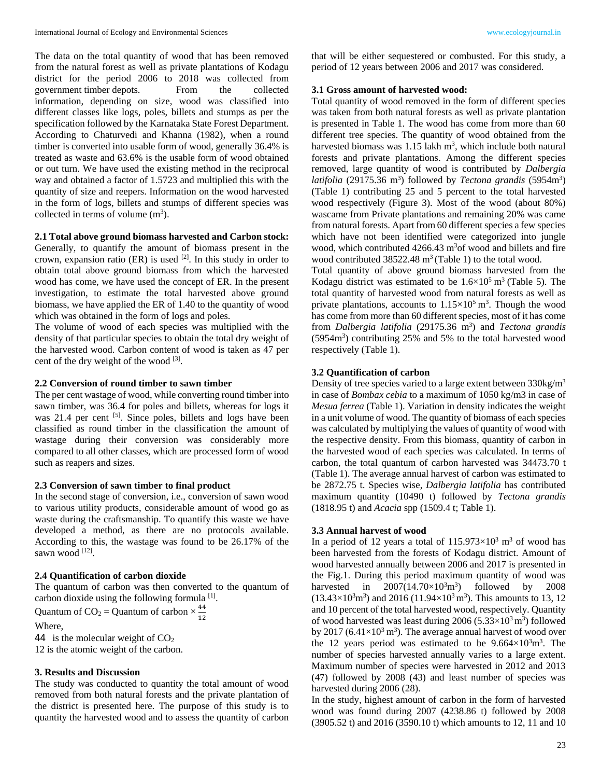The data on the total quantity of wood that has been removed from the natural forest as well as private plantations of Kodagu district for the period 2006 to 2018 was collected from government timber depots. From the collected information, depending on size, wood was classified into different classes like logs, poles, billets and stumps as per the specification followed by the Karnataka State Forest Department. According to Chaturvedi and Khanna (1982), when a round timber is converted into usable form of wood, generally 36.4% is treated as waste and 63.6% is the usable form of wood obtained or out turn. We have used the existing method in the reciprocal way and obtained a factor of 1.5723 and multiplied this with the quantity of size and reepers. Information on the wood harvested in the form of logs, billets and stumps of different species was collected in terms of volume  $(m<sup>3</sup>)$ .

# **2.1 Total above ground biomass harvested and Carbon stock:**

Generally, to quantify the amount of biomass present in the crown, expansion ratio (ER) is used  $^{[2]}$ . In this study in order to obtain total above ground biomass from which the harvested wood has come, we have used the concept of ER. In the present investigation, to estimate the total harvested above ground biomass, we have applied the ER of 1.40 to the quantity of wood which was obtained in the form of logs and poles.

The volume of wood of each species was multiplied with the density of that particular species to obtain the total dry weight of the harvested wood. Carbon content of wood is taken as 47 per cent of the dry weight of the wood  $[3]$ .

## **2.2 Conversion of round timber to sawn timber**

The per cent wastage of wood, while converting round timber into sawn timber, was 36.4 for poles and billets, whereas for logs it was 21.4 per cent [5]. Since poles, billets and logs have been classified as round timber in the classification the amount of wastage during their conversion was considerably more compared to all other classes, which are processed form of wood such as reapers and sizes.

# **2.3 Conversion of sawn timber to final product**

In the second stage of conversion, i.e., conversion of sawn wood to various utility products, considerable amount of wood go as waste during the craftsmanship. To quantify this waste we have developed a method, as there are no protocols available. According to this, the wastage was found to be 26.17% of the sawn wood [12].

## **2.4 Quantification of carbon dioxide**

The quantum of carbon was then converted to the quantum of carbon dioxide using the following formula  $[1]$ .

Quantum of  $CO_2 =$  Quantum of carbon  $\times \frac{44}{12}$ 

Where,

44 is the molecular weight of  $CO<sub>2</sub>$ 

12 is the atomic weight of the carbon.

## **3. Results and Discussion**

The study was conducted to quantity the total amount of wood removed from both natural forests and the private plantation of the district is presented here. The purpose of this study is to quantity the harvested wood and to assess the quantity of carbon

that will be either sequestered or combusted. For this study, a period of 12 years between 2006 and 2017 was considered.

## **3.1 Gross amount of harvested wood:**

Total quantity of wood removed in the form of different species was taken from both natural forests as well as private plantation is presented in Table 1. The wood has come from more than 60 different tree species. The quantity of wood obtained from the harvested biomass was  $1.15$  lakh  $m<sup>3</sup>$ , which include both natural forests and private plantations. Among the different species removed, large quantity of wood is contributed by *Dalbergia*  latifolia (29175.36 m<sup>3</sup>) followed by *Tectona grandis* (5954m<sup>3</sup>) (Table 1) contributing 25 and 5 percent to the total harvested wood respectively (Figure 3). Most of the wood (about 80%) wascame from Private plantations and remaining 20% was came from natural forests. Apart from 60 different species a few species which have not been identified were categorized into jungle wood, which contributed 4266.43 m<sup>3</sup>of wood and billets and fire wood contributed  $38522.48 \text{ m}^3$  (Table 1) to the total wood.

Total quantity of above ground biomass harvested from the Kodagu district was estimated to be  $1.6 \times 10^5$  m<sup>3</sup> (Table 5). The total quantity of harvested wood from natural forests as well as private plantations, accounts to  $1.15 \times 10^5$  m<sup>3</sup>. Though the wood has come from more than 60 different species, most of it has come from *Dalbergia latifolia* (29175.36 m<sup>3</sup>) and *Tectona grandis* (5954m<sup>3</sup> ) contributing 25% and 5% to the total harvested wood respectively (Table 1).

## **3.2 Quantification of carbon**

Density of tree species varied to a large extent between 330kg/m<sup>3</sup> in case of *Bombax cebia* to a maximum of 1050 kg/m3 in case of *Mesua ferrea* (Table 1). Variation in density indicates the weight in a unit volume of wood. The quantity of biomass of each species was calculated by multiplying the values of quantity of wood with the respective density. From this biomass, quantity of carbon in the harvested wood of each species was calculated. In terms of carbon, the total quantum of carbon harvested was 34473.70 t (Table 1). The average annual harvest of carbon was estimated to be 2872.75 t. Species wise, *Dalbergia latifolia* has contributed maximum quantity (10490 t) followed by *Tectona grandis* (1818.95 t) and *Acacia* spp (1509.4 t; Table 1).

## **3.3 Annual harvest of wood**

In a period of 12 years a total of  $115.973\times10^{3}$  m<sup>3</sup> of wood has been harvested from the forests of Kodagu district. Amount of wood harvested annually between 2006 and 2017 is presented in the Fig.1. During this period maximum quantity of wood was harvested in  $2007(14.70\times10^{3} \text{m}^{3})$ ) followed by 2008  $(13.43\times10^3 \text{m}^3)$  and 2016  $(11.94\times10^3 \text{m}^3)$ . This amounts to 13, 12 and 10 percent of the total harvested wood, respectively. Quantity of wood harvested was least during  $2006 (5.33 \times 10^3 \text{ m}^3)$  followed by 2017 (6.41 $\times$ 10<sup>3</sup> m<sup>3</sup>). The average annual harvest of wood over the 12 years period was estimated to be  $9.664 \times 10^3$  m<sup>3</sup>. The number of species harvested annually varies to a large extent. Maximum number of species were harvested in 2012 and 2013 (47) followed by 2008 (43) and least number of species was harvested during 2006 (28).

In the study, highest amount of carbon in the form of harvested wood was found during 2007 (4238.86 t) followed by 2008 (3905.52 t) and 2016 (3590.10 t) which amounts to 12, 11 and 10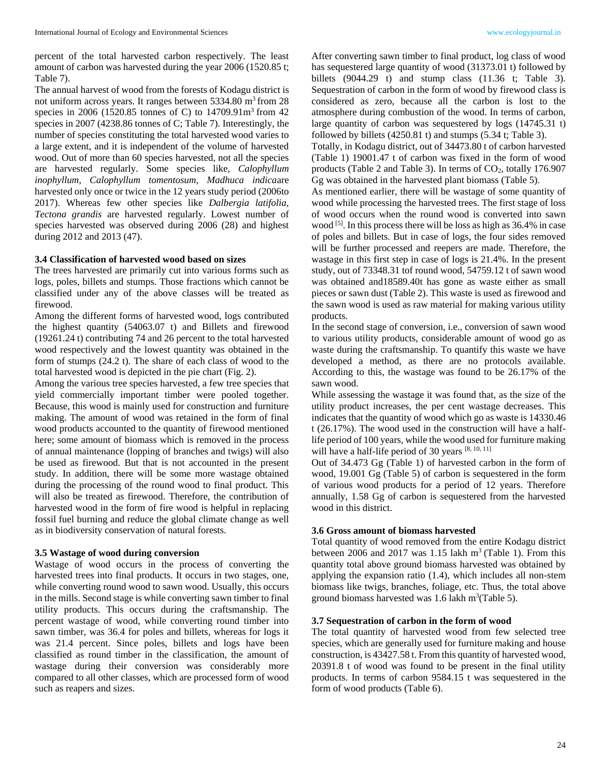percent of the total harvested carbon respectively. The least amount of carbon was harvested during the year 2006 (1520.85 t; Table 7).

The annual harvest of wood from the forests of Kodagu district is not uniform across years. It ranges between  $5334.80 \text{ m}^3$  from 28 species in 2006 (1520.85 tonnes of C) to  $14709.91 \text{m}^3$  from 42 species in 2007 (4238.86 tonnes of C; Table 7). Interestingly, the number of species constituting the total harvested wood varies to a large extent, and it is independent of the volume of harvested wood. Out of more than 60 species harvested, not all the species are harvested regularly. Some species like, *Calophyllum inophyllum, Calophyllum tomentosum, Madhuca indica*are harvested only once or twice in the 12 years study period (2006to 2017). Whereas few other species like *Dalbergia latifolia, Tectona grandis* are harvested regularly. Lowest number of species harvested was observed during 2006 (28) and highest during 2012 and 2013 (47).

## **3.4 Classification of harvested wood based on sizes**

The trees harvested are primarily cut into various forms such as logs, poles, billets and stumps. Those fractions which cannot be classified under any of the above classes will be treated as firewood.

Among the different forms of harvested wood, logs contributed the highest quantity (54063.07 t) and Billets and firewood (19261.24 t) contributing 74 and 26 percent to the total harvested wood respectively and the lowest quantity was obtained in the form of stumps (24.2 t). The share of each class of wood to the total harvested wood is depicted in the pie chart (Fig. 2).

Among the various tree species harvested, a few tree species that yield commercially important timber were pooled together. Because, this wood is mainly used for construction and furniture making. The amount of wood was retained in the form of final wood products accounted to the quantity of firewood mentioned here; some amount of biomass which is removed in the process of annual maintenance (lopping of branches and twigs) will also be used as firewood. But that is not accounted in the present study. In addition, there will be some more wastage obtained during the processing of the round wood to final product. This will also be treated as firewood. Therefore, the contribution of harvested wood in the form of fire wood is helpful in replacing fossil fuel burning and reduce the global climate change as well as in biodiversity conservation of natural forests.

## **3.5 Wastage of wood during conversion**

Wastage of wood occurs in the process of converting the harvested trees into final products. It occurs in two stages, one, while converting round wood to sawn wood. Usually, this occurs in the mills. Second stage is while converting sawn timber to final utility products. This occurs during the craftsmanship. The percent wastage of wood, while converting round timber into sawn timber, was 36.4 for poles and billets, whereas for logs it was 21.4 percent. Since poles, billets and logs have been classified as round timber in the classification, the amount of wastage during their conversion was considerably more compared to all other classes, which are processed form of wood such as reapers and sizes.

After converting sawn timber to final product, log class of wood has sequestered large quantity of wood (31373.01 t) followed by billets (9044.29 t) and stump class (11.36 t; Table 3). Sequestration of carbon in the form of wood by firewood class is considered as zero, because all the carbon is lost to the atmosphere during combustion of the wood. In terms of carbon, large quantity of carbon was sequestered by logs (14745.31 t) followed by billets (4250.81 t) and stumps (5.34 t; Table 3).

Totally, in Kodagu district, out of 34473.80 t of carbon harvested (Table 1) 19001.47 t of carbon was fixed in the form of wood products (Table 2 and Table 3). In terms of  $CO<sub>2</sub>$ , totally 176.907 Gg was obtained in the harvested plant biomass (Table 5).

As mentioned earlier, there will be wastage of some quantity of wood while processing the harvested trees. The first stage of loss of wood occurs when the round wood is converted into sawn wood <sup>[5]</sup>. In this process there will be loss as high as 36.4% in case of poles and billets. But in case of logs, the four sides removed will be further processed and reepers are made. Therefore, the wastage in this first step in case of logs is 21.4%. In the present study, out of 73348.31 tof round wood, 54759.12 t of sawn wood was obtained and18589.40t has gone as waste either as small pieces or sawn dust (Table 2). This waste is used as firewood and the sawn wood is used as raw material for making various utility products.

In the second stage of conversion, i.e., conversion of sawn wood to various utility products, considerable amount of wood go as waste during the craftsmanship. To quantify this waste we have developed a method, as there are no protocols available. According to this, the wastage was found to be 26.17% of the sawn wood.

While assessing the wastage it was found that, as the size of the utility product increases, the per cent wastage decreases. This indicates that the quantity of wood which go as waste is 14330.46 t (26.17%). The wood used in the construction will have a halflife period of 100 years, while the wood used for furniture making will have a half-life period of 30 years [8, 10, 11]

Out of 34.473 Gg (Table 1) of harvested carbon in the form of wood, 19.001 Gg (Table 5) of carbon is sequestered in the form of various wood products for a period of 12 years. Therefore annually, 1.58 Gg of carbon is sequestered from the harvested wood in this district.

## **3.6 Gross amount of biomass harvested**

Total quantity of wood removed from the entire Kodagu district between 2006 and 2017 was 1.15 lakh  $m<sup>3</sup>$  (Table 1). From this quantity total above ground biomass harvested was obtained by applying the expansion ratio (1.4), which includes all non-stem biomass like twigs, branches, foliage, etc. Thus, the total above ground biomass harvested was  $1.6$  lakh m<sup>3</sup>(Table 5).

## **3.7 Sequestration of carbon in the form of wood**

The total quantity of harvested wood from few selected tree species, which are generally used for furniture making and house construction, is 43427.58 t. From this quantity of harvested wood, 20391.8 t of wood was found to be present in the final utility products. In terms of carbon 9584.15 t was sequestered in the form of wood products (Table 6).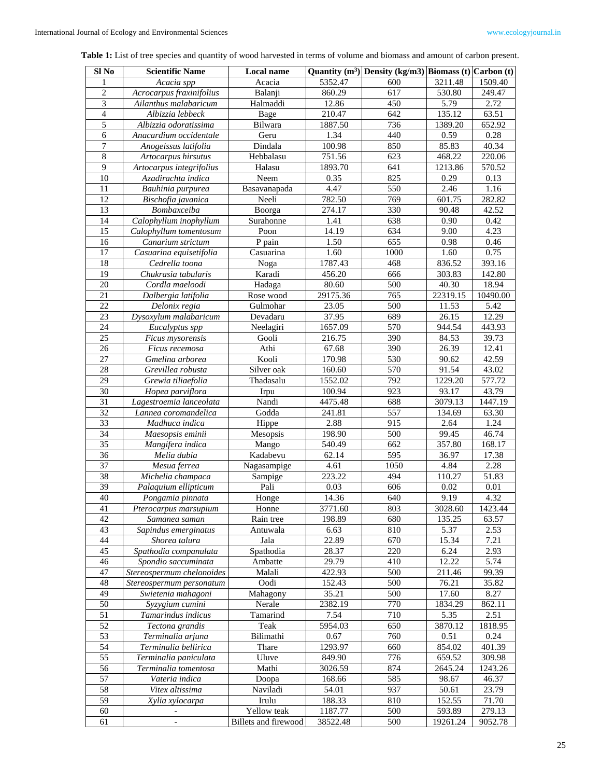| <b>Table 1:</b> List of tree species and quantity of wood harvested in terms of volume and biomass and amount of carbon present. |
|----------------------------------------------------------------------------------------------------------------------------------|
|----------------------------------------------------------------------------------------------------------------------------------|

| $SI$ No         | <b>Scientific Name</b>                 | Local name           |                  | Quantity $(m^3)$ Density (kg/m3) Biomass (t) Carbon (t) |                 |                 |
|-----------------|----------------------------------------|----------------------|------------------|---------------------------------------------------------|-----------------|-----------------|
| 1               | Acacia spp                             | Acacia               | 5352.47          | 600                                                     | 3211.48         | 1509.40         |
| $\overline{2}$  | Acrocarpus fraxinifolius               | Balanji              | 860.29           | 617                                                     | 530.80          | 249.47          |
| $\overline{3}$  | Ailanthus malabaricum                  | Halmaddi             | 12.86            | 450                                                     | 5.79            | 2.72            |
| $\overline{4}$  | Albizzia lebbeck                       | Bage                 | 210.47           | 642                                                     | 135.12          | 63.51           |
| 5               | Albizzia odoratissima                  | Bilwara              | 1887.50          | 736                                                     | 1389.20         | 652.92          |
| 6               | Anacardium occidentale                 | Geru                 | 1.34             | 440                                                     | 0.59            | 0.28            |
| 7               | Anogeissus latifolia                   | Dindala              | 100.98           | 850                                                     | 85.83           | 40.34           |
| $\,8\,$         | Artocarpus hirsutus                    | Hebbalasu            | 751.56           | 623                                                     | 468.22          | 220.06          |
| $\overline{9}$  | Artocarpus integrifolius               | Halasu               | 1893.70          | 641                                                     | 1213.86         | 570.52          |
| 10              | Azadirachta indica                     | Neem                 | 0.35             | 825                                                     | 0.29            | 0.13            |
| 11              | Bauhinia purpurea                      | Basavanapada         | 4.47             | 550                                                     | 2.46            | 1.16            |
| 12              | Bischofia javanica                     | Neeli                | 782.50           | 769                                                     | 601.75          | 282.82          |
| 13              | Bombaxceiba                            | Boorga               | 274.17           | 330                                                     | 90.48           | 42.52           |
| 14              | Calophyllum inophyllum                 | Surahonne            | 1.41             | 638                                                     | 0.90            | 0.42            |
| 15              | Calophyllum tomentosum                 | Poon                 | 14.19            | 634                                                     | 9.00            | 4.23            |
| 16              | Canarium strictum                      | P pain               | 1.50             | 655                                                     | 0.98            | 0.46            |
| 17              | Casuarina equisetifolia                | Casuarina            | 1.60             | 1000                                                    | 1.60            | 0.75            |
| 18              | Cedrella toona                         | Noga                 | 1787.43          | 468                                                     | 836.52          | 393.16          |
| 19              | Chukrasia tabularis                    | Karadi               | 456.20           | 666                                                     | 303.83          | 142.80          |
| 20              | Cordla maeloodi                        | Hadaga               | 80.60            | 500                                                     | 40.30           | 18.94           |
| 21              | Dalbergia latifolia                    | Rose wood            | 29175.36         | 765                                                     | 22319.15        | 10490.00        |
| 22              | Delonix regia                          | Gulmohar             | 23.05            | 500                                                     | 11.53           | 5.42            |
| 23              | Dysoxylum malabaricum                  | Devadaru             | 37.95            | 689                                                     | 26.15           | 12.29           |
| 24              | Eucalyptus spp                         | Neelagiri            | 1657.09          | 570                                                     | 944.54          | 443.93          |
| 25              | Ficus mysorensis                       | Gooli                | 216.75           | 390                                                     | 84.53           | 39.73           |
| 26              | Ficus recemosa                         | Athi                 | 67.68            | 390                                                     | 26.39           | 12.41           |
| 27              | Gmelina arborea                        | Kooli                | 170.98           | 530                                                     | 90.62           | 42.59           |
| 28              | Grevillea robusta                      | Silver oak           | 160.60           | 570                                                     | 91.54           | 43.02           |
| 29              | Grewia tiliaefolia                     | Thadasalu            | 1552.02          | 792                                                     | 1229.20         | 577.72          |
| 30              | Hopea parviflora                       | Irpu                 | 100.94           | 923                                                     | 93.17           | 43.79           |
| 31              | Lagestroemia lanceolata                | Nandi                | 4475.48          | 688                                                     | 3079.13         | 1447.19         |
| 32              | Lannea coromandelica                   | Godda                | 241.81           | 557                                                     | 134.69          | 63.30           |
| 33              | Madhuca indica                         | Hippe                | 2.88             | 915                                                     | 2.64            | 1.24            |
| 34              | Maesopsis eminii                       | Mesopsis             | 198.90           | 500                                                     | 99.45           | 46.74           |
| 35              | Mangifera indica                       | Mango                | 540.49           | 662                                                     | 357.80          | 168.17          |
| 36              | Melia dubia                            | Kadabevu             | 62.14            | 595                                                     | 36.97           | 17.38           |
| 37              | Mesua ferrea                           | Nagasampige          | 4.61             | 1050                                                    | 4.84            | 2.28            |
| 38              | Michelia champaca                      | Sampige              | 223.22           | 494                                                     | 110.27          | 51.83           |
| 39              | Palaquium ellipticum                   | Pali                 | 0.03             | 606                                                     | 0.02            | 0.01            |
| 40<br>41        | Pongamia pinnata                       | Honge                | 14.36<br>3771.60 | 640<br>803                                              | 9.19<br>3028.60 | 4.32<br>1423.44 |
| 42              | Pterocarpus marsupium<br>Samanea saman | Honne<br>Rain tree   | 198.89           | 680                                                     | 135.25          | 63.57           |
| 43              | Sapindus emerginatus                   | Antuwala             | 6.63             | 810                                                     | 5.37            | 2.53            |
| 44              | Shorea talura                          | Jala                 | 22.89            | 670                                                     | 15.34           | 7.21            |
| 45              | Spathodia companulata                  | Spathodia            | 28.37            | 220                                                     | 6.24            | 2.93            |
| 46              | Spondio saccuminata                    | Ambatte              | 29.79            | 410                                                     | 12.22           | 5.74            |
| 47              | Stereospermum chelonoides              | Malali               | 422.93           | 500                                                     | 211.46          | 99.39           |
| 48              | Stereospermum personatum               | Oodi                 | 152.43           | 500                                                     | 76.21           | 35.82           |
| 49              | Swietenia mahagoni                     | Mahagony             | 35.21            | 500                                                     | 17.60           | 8.27            |
| 50              | Syzygium cumini                        | Nerale               | 2382.19          | 770                                                     | 1834.29         | 862.11          |
| 51              | Tamarindus indicus                     | Tamarind             | 7.54             | 710                                                     | 5.35            | 2.51            |
| 52              | Tectona grandis                        | Teak                 | 5954.03          | 650                                                     | 3870.12         | 1818.95         |
| 53              | Terminalia arjuna                      | Bilimathi            | 0.67             | 760                                                     | 0.51            | 0.24            |
| 54              | Terminalia bellirica                   | Thare                | 1293.97          | 660                                                     | 854.02          | 401.39          |
| 55              | Terminalia paniculata                  | Uluve                | 849.90           | 776                                                     | 659.52          | 309.98          |
| 56              | Terminalia tomentosa                   | Mathi                | 3026.59          | 874                                                     | 2645.24         | 1243.26         |
| 57              | Vateria indica                         | Doopa                | 168.66           | 585                                                     | 98.67           | 46.37           |
| $\overline{58}$ | Vitex altissima                        | Naviladi             | 54.01            | 937                                                     | 50.61           | 23.79           |
| 59              | Xylia xylocarpa                        | Irulu                | 188.33           | 810                                                     | 152.55          | 71.70           |
| 60              |                                        | Yellow teak          | 1187.77          | 500                                                     | 593.89          | 279.13          |
| 61              | $\overline{\phantom{a}}$               | Billets and firewood | 38522.48         | 500                                                     | 19261.24        | 9052.78         |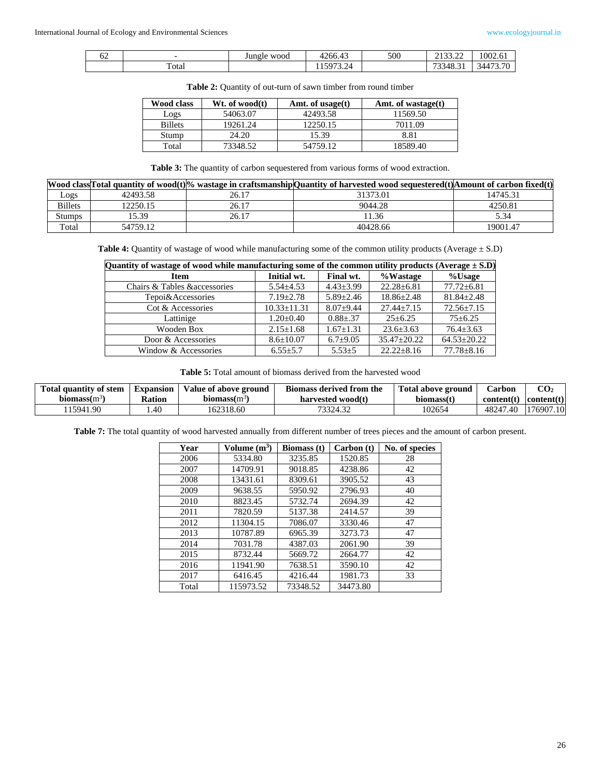| UΖ | $\overline{\phantom{0}}$ | Jungle wood | 4266.43                             | 500 | 0.10000<br>2133.22 | 1002.61  |
|----|--------------------------|-------------|-------------------------------------|-----|--------------------|----------|
|    | $\sim$<br>Total          |             | .5072<br>$2\pi$<br>11 <i>3713.4</i> |     | 73348.5            | 34473.70 |

|  |  |  |  |  | <b>Table 2:</b> Quantity of out-turn of sawn timber from round timber |  |
|--|--|--|--|--|-----------------------------------------------------------------------|--|
|--|--|--|--|--|-----------------------------------------------------------------------|--|

| Wood class     | Wt. of wood(t) | Amt. of usage $(t)$ | Amt. of wastage $(t)$ |
|----------------|----------------|---------------------|-----------------------|
| Logs           | 54063.07       | 42493.58            | 11569.50              |
| <b>Billets</b> | 19261.24       | 12250.15            | 7011.09               |
| Stump          | 24.20          | 15.39               | 8.81                  |
| Total          | 73348.52       | 54759.12            | 18589.40              |

**Table 3:** The quantity of carbon sequestered from various forms of wood extraction.

|                |          |       | Wood class Total quantity of wood(t) <sup>o</sup> wastage in craftsmanship Quantity of harvested wood sequestered(t) Amount of carbon fixed(t) |          |
|----------------|----------|-------|------------------------------------------------------------------------------------------------------------------------------------------------|----------|
| Logs           | 42493.58 | 26.17 | 31373.01                                                                                                                                       | 14745.31 |
| <b>Billets</b> | 12250.15 | 26.17 | 9044.28                                                                                                                                        | 4250.81  |
| Stumps         | 15.39    | 26.17 | 11.36                                                                                                                                          | 5.34     |
| Total          | 54759.12 |       | 40428.66                                                                                                                                       | 19001.47 |

Table 4: Quantity of wastage of wood while manufacturing some of the common utility products (Average  $\pm$  S.D)

| Quantity of wastage of wood while manufacturing some of the common utility products (Average $\pm$ S.D) |                   |                 |                   |                   |  |  |  |
|---------------------------------------------------------------------------------------------------------|-------------------|-----------------|-------------------|-------------------|--|--|--|
| <b>Item</b>                                                                                             | Initial wt.       | Final wt.       | %Wastage          | %Usage            |  |  |  |
| Chairs & Tables & accessories                                                                           | $5.54 \pm 4.53$   | $4.43 \pm 3.99$ | $22.28 \pm 6.81$  | $77.72 \pm 6.81$  |  |  |  |
| Tepoi&Accessories                                                                                       | $7.19 + 2.78$     | $5.89 + 2.46$   | $18.86 + 2.48$    | $81.84 + 2.48$    |  |  |  |
| Cot & Accessories                                                                                       | $10.33 \pm 11.31$ | $8.07 + 9.44$   | $27.44 + 7.15$    | $72.56 \pm 7.15$  |  |  |  |
| Lattinige                                                                                               | $1.20 \pm 0.40$   | $0.88 + 0.37$   | $25+6.25$         | $75+6.25$         |  |  |  |
| Wooden Box                                                                                              | $2.15 \pm 1.68$   | $1.67 \pm 1.31$ | $23.6 \pm 3.63$   | $76.4 \pm 3.63$   |  |  |  |
| Door & Accessories                                                                                      | $8.6 \pm 10.07$   | $6.7 \pm 9.05$  | $35.47 \pm 20.22$ | $64.53 \pm 20.22$ |  |  |  |
| Window & Accessories                                                                                    | $6.55 \pm 5.7$    | $5.53 \pm 5$    | $22.22 \pm 8.16$  | $77.78 \pm 8.16$  |  |  |  |

**Table 5:** Total amount of biomass derived from the harvested wood

| Total quantity of stem   | <b>Expansion</b> | Value of above ground    | Biomass derived from the | Total above ground | ∠arbon     | CO2                 |
|--------------------------|------------------|--------------------------|--------------------------|--------------------|------------|---------------------|
| biomass(m <sup>3</sup> ) | Ration           | biomass(m <sup>3</sup> ) | harvested wood(t)        | biomass(t)         | content(t) | $\text{content}(t)$ |
| 15941.90                 | .40              | 162318.60                | 73324.32                 | 102654             | 48247.40   | 176907.10           |

**Table 7:** The total quantity of wood harvested annually from different number of trees pieces and the amount of carbon present.

| Year  | Volume $(m^3)$ | <b>Biomass</b> (t) | Carbon (t) | No. of species |
|-------|----------------|--------------------|------------|----------------|
| 2006  | 5334.80        | 3235.85            | 1520.85    | 28             |
| 2007  | 14709.91       | 9018.85            | 4238.86    | 42             |
| 2008  | 13431.61       | 8309.61            | 3905.52    | 43             |
| 2009  | 9638.55        | 5950.92            | 2796.93    | 40             |
| 2010  | 8823.45        | 5732.74            | 2694.39    | 42             |
| 2011  | 7820.59        | 5137.38            | 2414.57    | 39             |
| 2012  | 11304.15       | 7086.07            | 3330.46    | 47             |
| 2013  | 10787.89       | 6965.39            | 3273.73    | 47             |
| 2014  | 7031.78        | 4387.03            | 2061.90    | 39             |
| 2015  | 8732.44        | 5669.72            | 2664.77    | 42             |
| 2016  | 11941.90       | 7638.51            | 3590.10    | 42             |
| 2017  | 6416.45        | 4216.44            | 1981.73    | 33             |
| Total | 115973.52      | 73348.52           | 34473.80   |                |